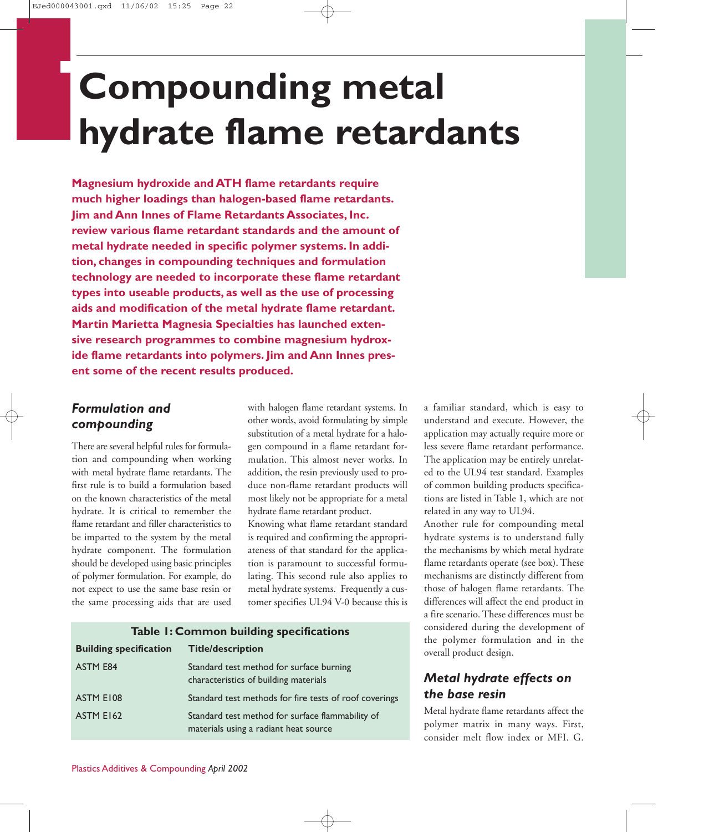# **Compounding metal hydrate flame retardants**

**Magnesium hydroxide and ATH flame retardants require much higher loadings than halogen-based flame retardants. Jim and Ann Innes of Flame Retardants Associates, Inc. review various flame retardant standards and the amount of metal hydrate needed in specific polymer systems. In addition, changes in compounding techniques and formulation technology are needed to incorporate these flame retardant types into useable products, as well as the use of processing aids and modification of the metal hydrate flame retardant. Martin Marietta Magnesia Specialties has launched extensive research programmes to combine magnesium hydroxide flame retardants into polymers. Jim and Ann Innes present some of the recent results produced.**

# *Formulation and compounding*

There are several helpful rules for formulation and compounding when working with metal hydrate flame retardants. The first rule is to build a formulation based on the known characteristics of the metal hydrate. It is critical to remember the flame retardant and filler characteristics to be imparted to the system by the metal hydrate component. The formulation should be developed using basic principles of polymer formulation. For example, do not expect to use the same base resin or the same processing aids that are used

with halogen flame retardant systems. In other words, avoid formulating by simple substitution of a metal hydrate for a halogen compound in a flame retardant formulation. This almost never works. In addition, the resin previously used to produce non-flame retardant products will most likely not be appropriate for a metal hydrate flame retardant product.

Knowing what flame retardant standard is required and confirming the appropriateness of that standard for the application is paramount to successful formulating. This second rule also applies to metal hydrate systems. Frequently a customer specifies UL94 V-0 because this is a familiar standard, which is easy to understand and execute. However, the application may actually require more or less severe flame retardant performance. The application may be entirely unrelated to the UL94 test standard. Examples of common building products specifications are listed in Table 1, which are not related in any way to UL94.

Another rule for compounding metal hydrate systems is to understand fully the mechanisms by which metal hydrate flame retardants operate (see box). These mechanisms are distinctly different from those of halogen flame retardants. The differences will affect the end product in a fire scenario. These differences must be considered during the development of the polymer formulation and in the overall product design.

# *Metal hydrate effects on the base resin*

Metal hydrate flame retardants affect the polymer matrix in many ways. First, consider melt flow index or MFI. G.

#### **Table 1: Common building specifications**

| <b>Building specification</b> | <b>Title/description</b>                                                                  |
|-------------------------------|-------------------------------------------------------------------------------------------|
| <b>ASTM E84</b>               | Standard test method for surface burning<br>characteristics of building materials         |
| ASTM E108                     | Standard test methods for fire tests of roof coverings                                    |
| <b>ASTM E162</b>              | Standard test method for surface flammability of<br>materials using a radiant heat source |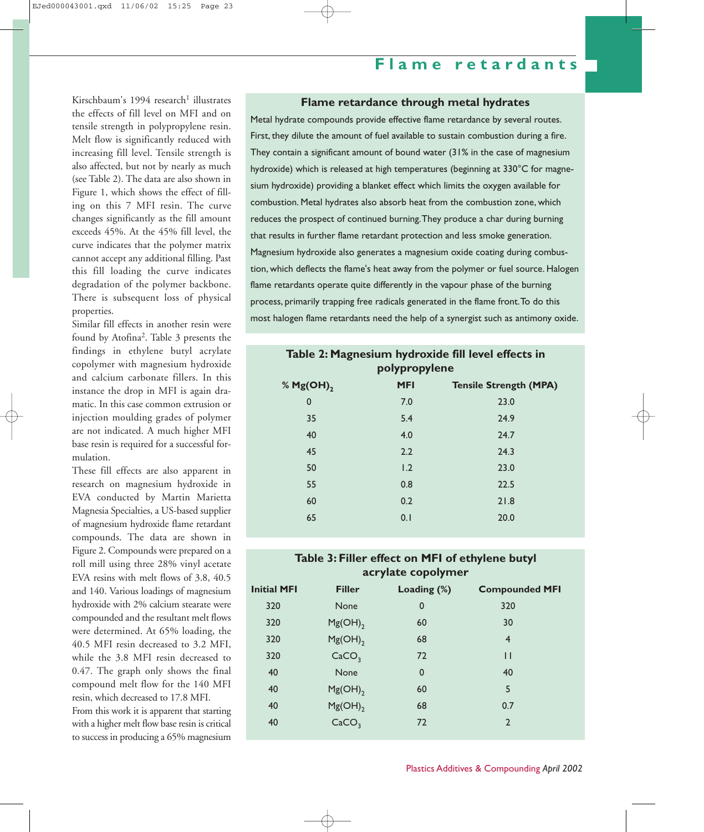Kirschbaum's 1994 research<sup>1</sup> illustrates the effects of fill level on MFI and on tensile strength in polypropylene resin. Melt flow is significantly reduced with increasing fill level. Tensile strength is also affected, but not by nearly as much (see Table 2). The data are also shown in Figure 1, which shows the effect of filling on this 7 MFI resin. The curve changes significantly as the fill amount exceeds 45%. At the 45% fill level, the curve indicates that the polymer matrix cannot accept any additional filling. Past this fill loading the curve indicates degradation of the polymer backbone. There is subsequent loss of physical properties.

Similar fill effects in another resin were found by Atofina2. Table 3 presents the findings in ethylene butyl acrylate copolymer with magnesium hydroxide and calcium carbonate fillers. In this instance the drop in MFI is again dramatic. In this case common extrusion or injection moulding grades of polymer are not indicated. A much higher MFI base resin is required for a successful formulation.

These fill effects are also apparent in research on magnesium hydroxide in EVA conducted by Martin Marietta Magnesia Specialties, a US-based supplier of magnesium hydroxide flame retardant compounds. The data are shown in Figure 2. Compounds were prepared on a roll mill using three 28% vinyl acetate EVA resins with melt flows of 3.8, 40.5 and 140. Various loadings of magnesium hydroxide with 2% calcium stearate were compounded and the resultant melt flows were determined. At 65% loading, the 40.5 MFI resin decreased to 3.2 MFI, while the 3.8 MFI resin decreased to 0.47. The graph only shows the final compound melt flow for the 140 MFI resin, which decreased to 17.8 MFI.

From this work it is apparent that starting with a higher melt flow base resin is critical to success in producing a 65% magnesium

# **Flame retardants**

#### **Flame retardance through metal hydrates**

Metal hydrate compounds provide effective flame retardance by several routes. First, they dilute the amount of fuel available to sustain combustion during a fire. They contain a significant amount of bound water (31% in the case of magnesium hydroxide) which is released at high temperatures (beginning at 330°C for magnesium hydroxide) providing a blanket effect which limits the oxygen available for combustion. Metal hydrates also absorb heat from the combustion zone, which reduces the prospect of continued burning.They produce a char during burning that results in further flame retardant protection and less smoke generation. Magnesium hydroxide also generates a magnesium oxide coating during combustion, which deflects the flame's heat away from the polymer or fuel source. Halogen flame retardants operate quite differently in the vapour phase of the burning process, primarily trapping free radicals generated in the flame front.To do this most halogen flame retardants need the help of a synergist such as antimony oxide.

| Table 2: Magnesium hydroxide fill level effects in<br>polypropylene |            |                               |  |
|---------------------------------------------------------------------|------------|-------------------------------|--|
| % $Mg(OH)$ ,                                                        | <b>MFI</b> | <b>Tensile Strength (MPA)</b> |  |
| $\mathbf 0$                                                         | 7.0        | 23.0                          |  |
| 35                                                                  | 5.4        | 24.9                          |  |
| 40                                                                  | 4.0        | 24.7                          |  |
| 45                                                                  | 2.2        | 24.3                          |  |
| 50                                                                  | 1.2        | 23.0                          |  |
| 55                                                                  | 0.8        | 22.5                          |  |
| 60                                                                  | 0.2        | 21.8                          |  |
| 65                                                                  | 0.1        | 20.0                          |  |

| Table 3: Filler effect on MFI of ethylene butyl |  |  |  |  |
|-------------------------------------------------|--|--|--|--|
| acrylate copolymer                              |  |  |  |  |

| <b>Initial MFI</b> | <b>Filler</b>         | Loading $(\%)$ | <b>Compounded MFI</b> |
|--------------------|-----------------------|----------------|-----------------------|
| 320                | <b>None</b>           | $\mathbf 0$    | 320                   |
| 320                | $Mg(OH)$ <sub>2</sub> | 60             | 30                    |
| 320                | $Mg(OH)$ <sub>2</sub> | 68             | $\overline{4}$        |
| 320                | CaCO <sub>3</sub>     | 72             | П                     |
| 40                 | <b>None</b>           | $\mathbf 0$    | 40                    |
| 40                 | $Mg(OH)$ <sub>2</sub> | 60             | 5                     |
| 40                 | $Mg(OH)$ <sub>2</sub> | 68             | 0.7                   |
| 40                 | CaCO <sub>3</sub>     | 72             | $\overline{2}$        |
|                    |                       |                |                       |

Plastics Additives & Compounding *April 2002*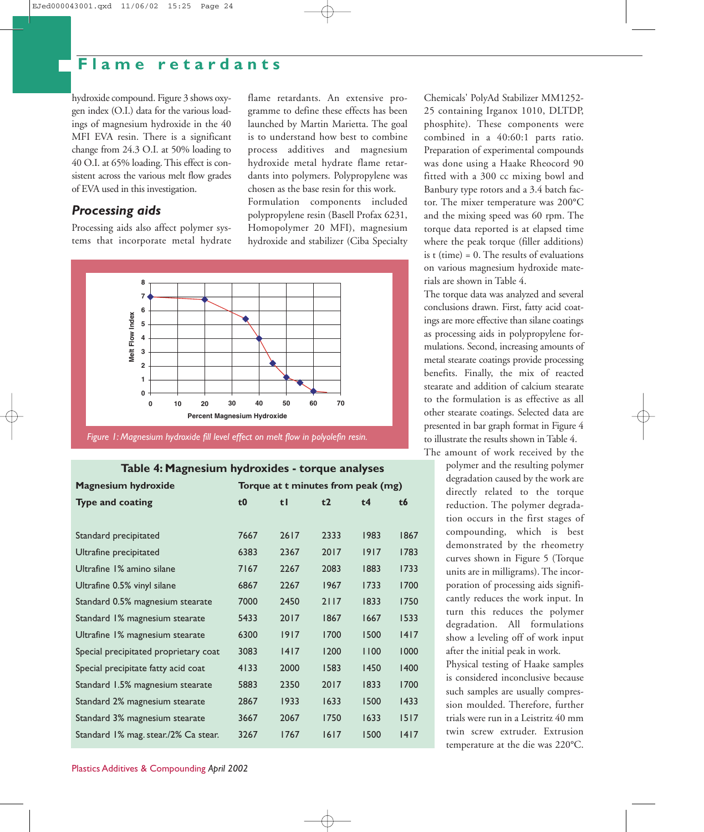# **Flame retardants**

hydroxide compound. Figure 3 shows oxygen index (O.I.) data for the various loadings of magnesium hydroxide in the 40 MFI EVA resin. There is a significant change from 24.3 O.I. at 50% loading to 40 O.I. at 65% loading. This effect is consistent across the various melt flow grades of EVA used in this investigation.

#### *Processing aids*

Processing aids also affect polymer systems that incorporate metal hydrate flame retardants. An extensive programme to define these effects has been launched by Martin Marietta. The goal is to understand how best to combine process additives and magnesium hydroxide metal hydrate flame retardants into polymers. Polypropylene was chosen as the base resin for this work. Formulation components included polypropylene resin (Basell Profax 6231, Homopolymer 20 MFI), magnesium hydroxide and stabilizer (Ciba Specialty



*Figure 1: Magnesium hydroxide fill level effect on melt flow in polyolefin resin.*

#### **Table 4: Magnesium hydroxides - torque analyses**

| <b>Magnesium hydroxide</b>            | Torque at t minutes from peak (mg) |      |      |      |      |
|---------------------------------------|------------------------------------|------|------|------|------|
| <b>Type and coating</b>               | t <sub>0</sub>                     | tl   | t2   | t4   | t6   |
|                                       |                                    |      |      |      |      |
| Standard precipitated                 | 7667                               | 2617 | 2333 | 1983 | 1867 |
| Ultrafine precipitated                | 6383                               | 2367 | 2017 | 1917 | 1783 |
| Ultrafine 1% amino silane             | 7167                               | 2267 | 2083 | 1883 | 1733 |
| Ultrafine 0.5% vinyl silane           | 6867                               | 2267 | 1967 | 1733 | 1700 |
| Standard 0.5% magnesium stearate      | 7000                               | 2450 | 2117 | 1833 | 1750 |
| Standard 1% magnesium stearate        | 5433                               | 2017 | 1867 | 1667 | 1533 |
| Ultrafine 1% magnesium stearate       | 6300                               | 1917 | 1700 | 1500 | 1417 |
| Special precipitated proprietary coat | 3083                               | 1417 | 1200 | 1100 | 1000 |
| Special precipitate fatty acid coat   | 4133                               | 2000 | 1583 | 1450 | 1400 |
| Standard 1.5% magnesium stearate      | 5883                               | 2350 | 2017 | 1833 | 1700 |
| Standard 2% magnesium stearate        | 2867                               | 1933 | 1633 | 1500 | 1433 |
| Standard 3% magnesium stearate        | 3667                               | 2067 | 1750 | 1633 | 1517 |
| Standard 1% mag. stear./2% Ca stear.  | 3267                               | 1767 | 1617 | 1500 | 1417 |
|                                       |                                    |      |      |      |      |

Plastics Additives & Compounding *April 2002*

Chemicals' PolyAd Stabilizer MM1252- 25 containing Irganox 1010, DLTDP, phosphite). These components were combined in a 40:60:1 parts ratio. Preparation of experimental compounds was done using a Haake Rheocord 90 fitted with a 300 cc mixing bowl and Banbury type rotors and a 3.4 batch factor. The mixer temperature was 200°C and the mixing speed was 60 rpm. The torque data reported is at elapsed time where the peak torque (filler additions) is t (time) =  $0$ . The results of evaluations on various magnesium hydroxide materials are shown in Table 4.

The torque data was analyzed and several conclusions drawn. First, fatty acid coatings are more effective than silane coatings as processing aids in polypropylene formulations. Second, increasing amounts of metal stearate coatings provide processing benefits. Finally, the mix of reacted stearate and addition of calcium stearate to the formulation is as effective as all other stearate coatings. Selected data are presented in bar graph format in Figure 4 to illustrate the results shown in Table 4. The amount of work received by the

polymer and the resulting polymer degradation caused by the work are directly related to the torque reduction. The polymer degradation occurs in the first stages of compounding, which is best demonstrated by the rheometry curves shown in Figure 5 (Torque units are in milligrams). The incorporation of processing aids significantly reduces the work input. In turn this reduces the polymer degradation. All formulations show a leveling off of work input after the initial peak in work.

Physical testing of Haake samples is considered inconclusive because such samples are usually compression moulded. Therefore, further trials were run in a Leistritz 40 mm twin screw extruder. Extrusion temperature at the die was 220°C.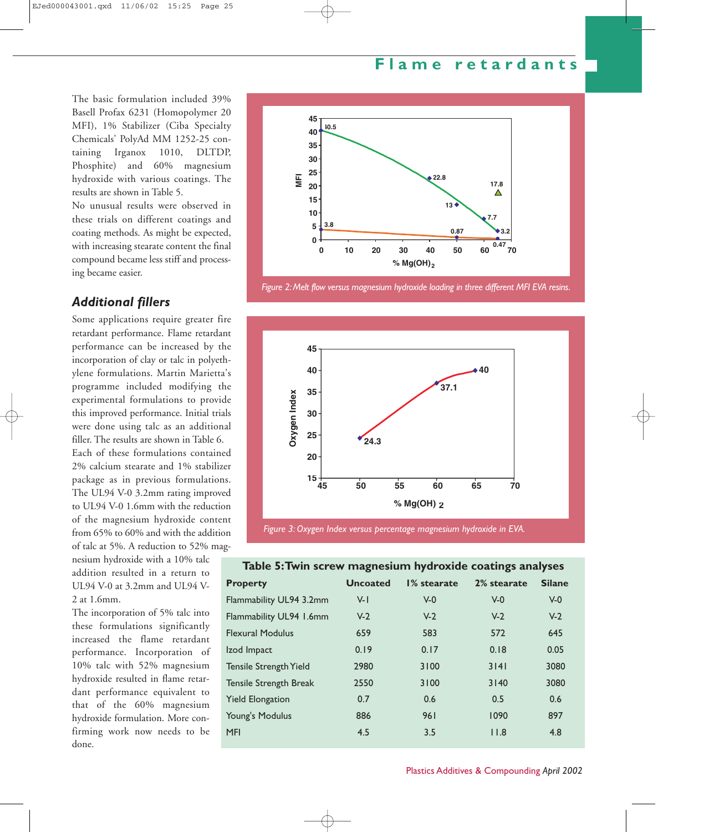The basic formulation included 39% Basell Profax 6231 (Homopolymer 20 MFI), 1% Stabilizer (Ciba Specialty Chemicals' PolyAd MM 1252-25 containing Irganox 1010, DLTDP, Phosphite) and 60% magnesium hydroxide with various coatings. The results are shown in Table 5.

No unusual results were observed in these trials on different coatings and coating methods. As might be expected, with increasing stearate content the final compound became less stiff and processing became easier.

## *Additional fillers*

Some applications require greater fire retardant performance. Flame retardant performance can be increased by the incorporation of clay or talc in polyethylene formulations. Martin Marietta's programme included modifying the experimental formulations to provide this improved performance. Initial trials were done using talc as an additional filler. The results are shown in Table 6. Each of these formulations contained 2% calcium stearate and 1% stabilizer package as in previous formulations. The UL94 V-0 3.2mm rating improved to UL94 V-0 1.6mm with the reduction of the magnesium hydroxide content from 65% to 60% and with the addition of talc at 5%. A reduction to 52% magnesium hydroxide with a 10% talc addition resulted in a return to UL94 V-0 at 3.2mm and UL94 V-2 at 1.6mm.

The incorporation of 5% talc into these formulations significantly increased the flame retardant performance. Incorporation of 10% talc with 52% magnesium hydroxide resulted in flame retardant performance equivalent to that of the 60% magnesium hydroxide formulation. More confirming work now needs to be done.

# **Flame retardants**



*Figure 2:Melt flow versus magnesium hydroxide loading in three different MFI EVA resins.*



### **Table 5:Twin screw magnesium hydroxide coatings analyses**

| <b>Property</b>         | Uncoated | I% stearate | 2% stearate | <b>Silane</b> |
|-------------------------|----------|-------------|-------------|---------------|
| Flammability UL94 3.2mm | $V-I$    | $V-0$       | $V-0$       | $V-0$         |
| Flammability UL94 1.6mm | $V-2$    | $V-2$       | $V-2$       | $V-2$         |
| <b>Flexural Modulus</b> | 659      | 583         | 572         | 645           |
| Izod Impact             | 0.19     | 0.17        | 0.18        | 0.05          |
| Tensile Strength Yield  | 2980     | 3100        | 3141        | 3080          |
| Tensile Strength Break  | 2550     | 3100        | 3140        | 3080          |
| <b>Yield Elongation</b> | 0.7      | 0.6         | 0.5         | 0.6           |
| Young's Modulus         | 886      | 961         | 1090        | 897           |
| <b>MFI</b>              | 4.5      | 3.5         | 11.8        | 4.8           |

Plastics Additives & Compounding *April 2002*